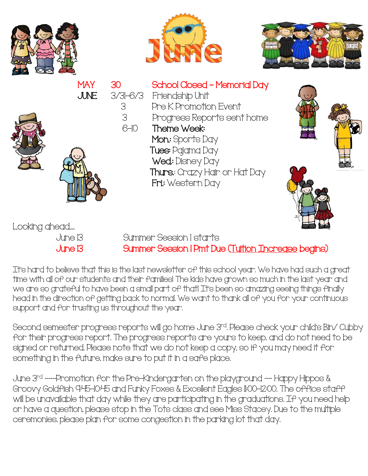







June 13 Summer Session 1 starts June 13 Summer Session 1 Pmt Due (Tuition Increase begins)

It's hard to believe that this is the last newsletter of this school year. We have had such a great time with all of our students and their families! The kids have grown so much in the last year and we are so grateful to have been a small part of that! It's been so amazing seeing things finally head in the direction of getting back to normal. We want to thank all of you for your continuous support and for trusting us throughout the year.

Second semester progress reports will go home June 3<sup>rd</sup>. Please check your child's Bin/ Cubby for their progress report. The progress reports are yours to keep, and do not need to be signed or returned. Please note that we do not keep a copy, so if you may need it for something in the future, make sure to put it in a safe place.

June 3 rd ---Promotion for the Pre-Kindergarten on the playground -- Happy Hippos & Groovy Goldfish 9:45-10:45 and Funky Foxes & Excellent Eagles 11:00-12:00. The office staff will be unavailable that day while they are participating in the graduations. If you need help or have a question, please stop in the Tots class and see Miss Stacey. Due to the multiple ceremonies, please plan for some congestion in the parking lot that day.